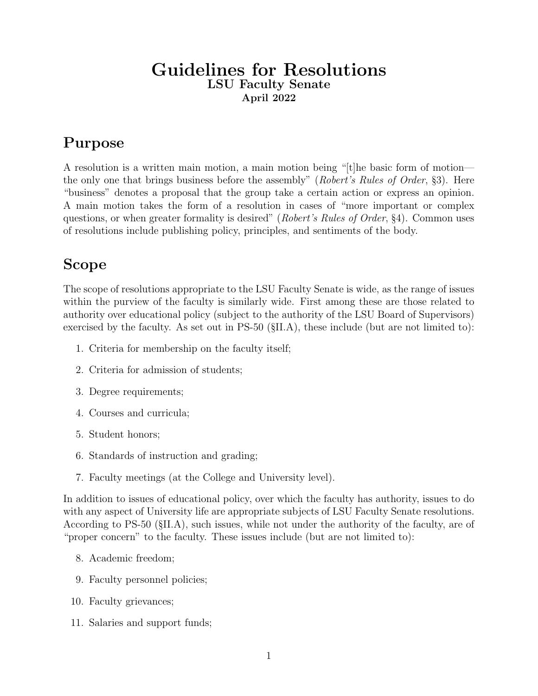### Guidelines for Resolutions LSU Faculty Senate April 2022

# Purpose

A resolution is a written main motion, a main motion being "[t]he basic form of motion the only one that brings business before the assembly" (Robert's Rules of Order, §3). Here "business" denotes a proposal that the group take a certain action or express an opinion. A main motion takes the form of a resolution in cases of "more important or complex questions, or when greater formality is desired" (Robert's Rules of Order, §4). Common uses of resolutions include publishing policy, principles, and sentiments of the body.

## Scope

The scope of resolutions appropriate to the LSU Faculty Senate is wide, as the range of issues within the purview of the faculty is similarly wide. First among these are those related to authority over educational policy (subject to the authority of the LSU Board of Supervisors) exercised by the faculty. As set out in PS-50 (§II.A), these include (but are not limited to):

- 1. Criteria for membership on the faculty itself;
- 2. Criteria for admission of students;
- 3. Degree requirements;
- 4. Courses and curricula;
- 5. Student honors;
- 6. Standards of instruction and grading;
- 7. Faculty meetings (at the College and University level).

In addition to issues of educational policy, over which the faculty has authority, issues to do with any aspect of University life are appropriate subjects of LSU Faculty Senate resolutions. According to PS-50 (§II.A), such issues, while not under the authority of the faculty, are of "proper concern" to the faculty. These issues include (but are not limited to):

- 8. Academic freedom;
- 9. Faculty personnel policies;
- 10. Faculty grievances;
- 11. Salaries and support funds;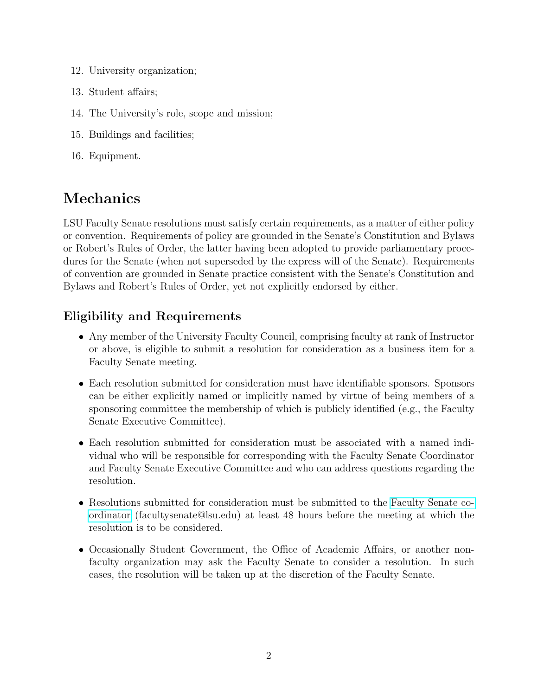- 12. University organization;
- 13. Student affairs;
- 14. The University's role, scope and mission;
- 15. Buildings and facilities;
- 16. Equipment.

# Mechanics

LSU Faculty Senate resolutions must satisfy certain requirements, as a matter of either policy or convention. Requirements of policy are grounded in the Senate's Constitution and Bylaws or Robert's Rules of Order, the latter having been adopted to provide parliamentary procedures for the Senate (when not superseded by the express will of the Senate). Requirements of convention are grounded in Senate practice consistent with the Senate's Constitution and Bylaws and Robert's Rules of Order, yet not explicitly endorsed by either.

## Eligibility and Requirements

- Any member of the University Faculty Council, comprising faculty at rank of Instructor or above, is eligible to submit a resolution for consideration as a business item for a Faculty Senate meeting.
- Each resolution submitted for consideration must have identifiable sponsors. Sponsors can be either explicitly named or implicitly named by virtue of being members of a sponsoring committee the membership of which is publicly identified (e.g., the Faculty Senate Executive Committee).
- Each resolution submitted for consideration must be associated with a named individual who will be responsible for corresponding with the Faculty Senate Coordinator and Faculty Senate Executive Committee and who can address questions regarding the resolution.
- Resolutions submitted for consideration must be submitted to the [Faculty](mailto:facultysenate@lsu.edu) Senate co[ordinator](mailto:facultysenate@lsu.edu) [\(facultysenate@lsu.edu\)](mailto:facultysenate@lsu.edu) at least 48 hours before the meeting at which the resolution is to be considered.
- Occasionally Student Government, the Office of Academic Affairs, or another nonfaculty organization may ask the Faculty Senate to consider a resolution. In such cases, the resolution will be taken up at the discretion of the Faculty Senate.